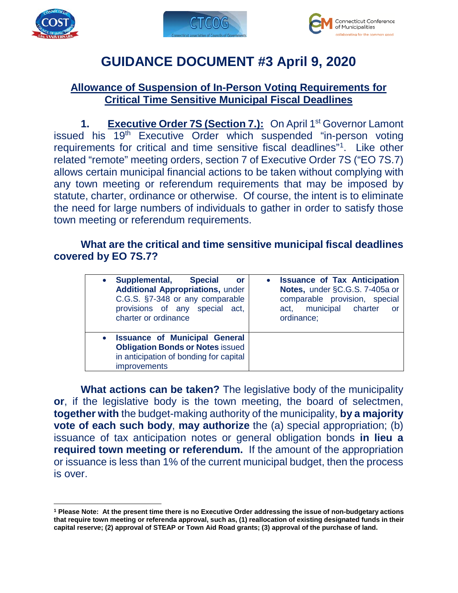





# **GUIDANCE DOCUMENT #3 April 9, 2020**

#### **Allowance of Suspension of In-Person Voting Requirements for Critical Time Sensitive Municipal Fiscal Deadlines**

**1. Executive Order 7S (Section 7.):** On April 1<sup>st</sup> Governor Lamont issued his 19th Executive Order which suspended "in-person voting requirements for critical and time sensitive fiscal deadlines["1](#page-0-0). Like other related "remote" meeting orders, section 7 of Executive Order 7S ("EO 7S.7) allows certain municipal financial actions to be taken without complying with any town meeting or referendum requirements that may be imposed by statute, charter, ordinance or otherwise. Of course, the intent is to eliminate the need for large numbers of individuals to gather in order to satisfy those town meeting or referendum requirements.

#### **What are the critical and time sensitive municipal fiscal deadlines covered by EO 7S.7?**

| Supplemental,                                                                                                                             | • Issuance of Tax Anticipation |
|-------------------------------------------------------------------------------------------------------------------------------------------|--------------------------------|
| <b>Special</b>                                                                                                                            | Notes, under §C.G.S. 7-405a or |
| or                                                                                                                                        | comparable provision, special  |
| <b>Additional Appropriations, under</b>                                                                                                   | municipal charter              |
| C.G.S. §7-348 or any comparable                                                                                                           | act,                           |
| provisions of any special act,                                                                                                            | or                             |
| charter or ordinance                                                                                                                      | ordinance;                     |
| <b>Issuance of Municipal General</b><br><b>Obligation Bonds or Notes issued</b><br>in anticipation of bonding for capital<br>improvements |                                |

**What actions can be taken?** The legislative body of the municipality **or**, if the legislative body is the town meeting, the board of selectmen, **together with** the budget-making authority of the municipality, **by a majority vote of each such body**, **may authorize** the (a) special appropriation; (b) issuance of tax anticipation notes or general obligation bonds **in lieu a required town meeting or referendum.** If the amount of the appropriation or issuance is less than 1% of the current municipal budget, then the process is over.

<span id="page-0-0"></span> $\overline{a}$ **<sup>1</sup> Please Note: At the present time there is no Executive Order addressing the issue of non-budgetary actions that require town meeting or referenda approval, such as, (1) reallocation of existing designated funds in their capital reserve; (2) approval of STEAP or Town Aid Road grants; (3) approval of the purchase of land.**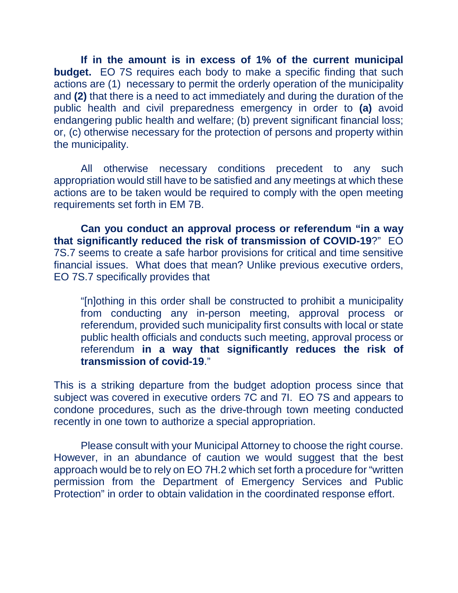**If in the amount is in excess of 1% of the current municipal budget.** EO 7S requires each body to make a specific finding that such actions are (1) necessary to permit the orderly operation of the municipality and **(2)** that there is a need to act immediately and during the duration of the public health and civil preparedness emergency in order to **(a)** avoid endangering public health and welfare; (b) prevent significant financial loss; or, (c) otherwise necessary for the protection of persons and property within the municipality.

All otherwise necessary conditions precedent to any such appropriation would still have to be satisfied and any meetings at which these actions are to be taken would be required to comply with the open meeting requirements set forth in EM 7B.

**Can you conduct an approval process or referendum "in a way that significantly reduced the risk of transmission of COVID-19**?" EO 7S.7 seems to create a safe harbor provisions for critical and time sensitive financial issues. What does that mean? Unlike previous executive orders, EO 7S.7 specifically provides that

"[n]othing in this order shall be constructed to prohibit a municipality from conducting any in-person meeting, approval process or referendum, provided such municipality first consults with local or state public health officials and conducts such meeting, approval process or referendum **in a way that significantly reduces the risk of transmission of covid-19**."

This is a striking departure from the budget adoption process since that subject was covered in executive orders 7C and 7I. EO 7S and appears to condone procedures, such as the drive-through town meeting conducted recently in one town to authorize a special appropriation.

Please consult with your Municipal Attorney to choose the right course. However, in an abundance of caution we would suggest that the best approach would be to rely on EO 7H.2 which set forth a procedure for "written permission from the Department of Emergency Services and Public Protection" in order to obtain validation in the coordinated response effort.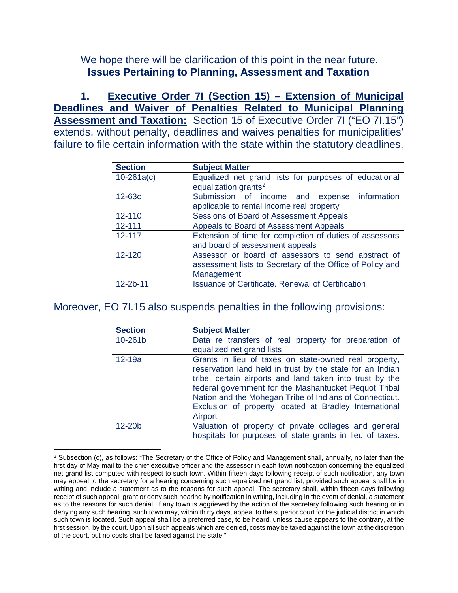We hope there will be clarification of this point in the near future. **Issues Pertaining to Planning, Assessment and Taxation**

**1. Executive Order 7I (Section 15) – Extension of Municipal Deadlines and Waiver of Penalties Related to Municipal Planning Assessment and Taxation:** Section 15 of Executive Order 7I ("EO 7I.15") extends, without penalty, deadlines and waives penalties for municipalities' failure to file certain information with the state within the statutory deadlines.

| <b>Section</b> | <b>Subject Matter</b>                                                                      |
|----------------|--------------------------------------------------------------------------------------------|
| $10 - 261a(c)$ | Equalized net grand lists for purposes of educational<br>equalization grants <sup>2</sup>  |
|                |                                                                                            |
| 12-63c         | Submission of income and expense information                                               |
|                | applicable to rental income real property                                                  |
| 12-110         | Sessions of Board of Assessment Appeals                                                    |
| $12 - 111$     | Appeals to Board of Assessment Appeals                                                     |
| 12-117         | Extension of time for completion of duties of assessors<br>and board of assessment appeals |
| $12 - 120$     | Assessor or board of assessors to send abstract of                                         |
|                | assessment lists to Secretary of the Office of Policy and                                  |
|                | Management                                                                                 |
| $12 - 2b - 11$ | <b>Issuance of Certificate. Renewal of Certification</b>                                   |

Moreover, EO 7I.15 also suspends penalties in the following provisions:

| <b>Section</b> | <b>Subject Matter</b>                                                                                                                                                                                                                                                                                                                                                   |
|----------------|-------------------------------------------------------------------------------------------------------------------------------------------------------------------------------------------------------------------------------------------------------------------------------------------------------------------------------------------------------------------------|
| 10-261b        | Data re transfers of real property for preparation of<br>equalized net grand lists                                                                                                                                                                                                                                                                                      |
| $12-19a$       | Grants in lieu of taxes on state-owned real property,<br>reservation land held in trust by the state for an Indian<br>tribe, certain airports and land taken into trust by the<br>federal government for the Mashantucket Pequot Tribal<br>Nation and the Mohegan Tribe of Indians of Connecticut.<br>Exclusion of property located at Bradley International<br>Airport |
| 12-20b         | Valuation of property of private colleges and general<br>hospitals for purposes of state grants in lieu of taxes.                                                                                                                                                                                                                                                       |

<span id="page-2-0"></span> $\overline{a}$  $2$  Subsection (c), as follows: "The Secretary of the Office of Policy and Management shall, annually, no later than the first day of May mail to the chief executive officer and the assessor in each town notification concerning the equalized net grand list computed with respect to such town. Within fifteen days following receipt of such notification, any town may appeal to the secretary for a hearing concerning such equalized net grand list, provided such appeal shall be in writing and include a statement as to the reasons for such appeal. The secretary shall, within fifteen days following receipt of such appeal, grant or deny such hearing by notification in writing, including in the event of denial, a statement as to the reasons for such denial. If any town is aggrieved by the action of the secretary following such hearing or in denying any such hearing, such town may, within thirty days, appeal to the superior court for the judicial district in which such town is located. Such appeal shall be a preferred case, to be heard, unless cause appears to the contrary, at the first session, by the court. Upon all such appeals which are denied, costs may be taxed against the town at the discretion of the court, but no costs shall be taxed against the state."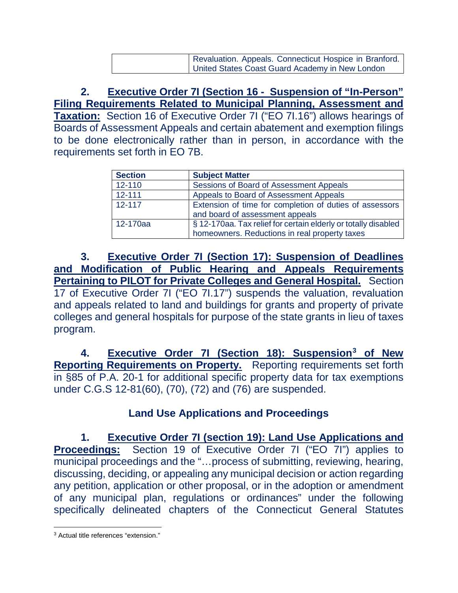| Revaluation. Appeals. Connecticut Hospice in Branford. |
|--------------------------------------------------------|
| United States Coast Guard Academy in New London        |

**2. Executive Order 7I (Section 16 - Suspension of "In-Person" Filing Requirements Related to Municipal Planning, Assessment and Taxation:** Section 16 of Executive Order 7I ("EO 7I.16") allows hearings of Boards of Assessment Appeals and certain abatement and exemption filings to be done electronically rather than in person, in accordance with the requirements set forth in EO 7B.

| <b>Section</b> | <b>Subject Matter</b>                                                                                           |
|----------------|-----------------------------------------------------------------------------------------------------------------|
| 12-110         | Sessions of Board of Assessment Appeals                                                                         |
| $12 - 111$     | Appeals to Board of Assessment Appeals                                                                          |
| $12 - 117$     | Extension of time for completion of duties of assessors<br>and board of assessment appeals                      |
| 12-170aa       | § 12-170aa. Tax relief for certain elderly or totally disabled<br>homeowners. Reductions in real property taxes |

**3. Executive Order 7I (Section 17): Suspension of Deadlines and Modification of Public Hearing and Appeals Requirements Pertaining to PILOT for Private Colleges and General Hospital.** Section 17 of Executive Order 7I ("EO 7I.17") suspends the valuation, revaluation and appeals related to land and buildings for grants and property of private colleges and general hospitals for purpose of the state grants in lieu of taxes program.

**4. Executive Order 7I (Section 18): Suspension[3](#page-3-0) of New Reporting Requirements on Property.** Reporting requirements set forth in §85 of P.A. 20-1 for additional specific property data for tax exemptions under C.G.S 12-81(60), (70), (72) and (76) are suspended.

### **Land Use Applications and Proceedings**

**1. Executive Order 7I (section 19): Land Use Applications and Proceedings:** Section 19 of Executive Order 7I ("EO 7I") applies to municipal proceedings and the "…process of submitting, reviewing, hearing, discussing, deciding, or appealing any municipal decision or action regarding any petition, application or other proposal, or in the adoption or amendment of any municipal plan, regulations or ordinances" under the following specifically delineated chapters of the Connecticut General Statutes

<span id="page-3-0"></span> $\overline{a}$ <sup>3</sup> Actual title references "extension."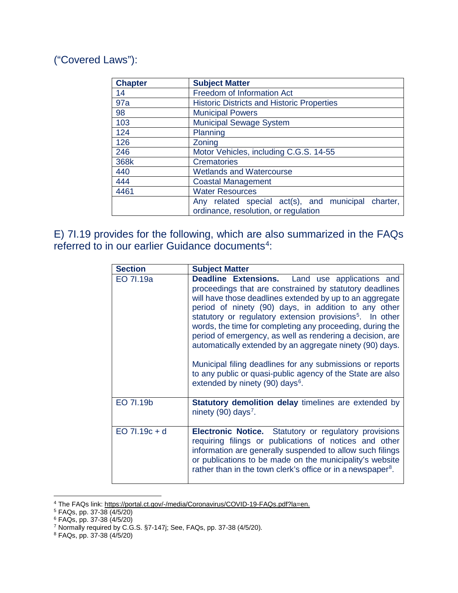## ("Covered Laws"):

| <b>Chapter</b> | <b>Subject Matter</b>                                 |
|----------------|-------------------------------------------------------|
| 14             | Freedom of Information Act                            |
| 97a            | <b>Historic Districts and Historic Properties</b>     |
| 98             | <b>Municipal Powers</b>                               |
| 103            | <b>Municipal Sewage System</b>                        |
| 124            | Planning                                              |
| 126            | Zoning                                                |
| 246            | Motor Vehicles, including C.G.S. 14-55                |
| 368k           | <b>Crematories</b>                                    |
| 440            | <b>Wetlands and Watercourse</b>                       |
| 444            | <b>Coastal Management</b>                             |
| 4461           | <b>Water Resources</b>                                |
|                | Any related special act(s), and municipal<br>charter, |
|                | ordinance, resolution, or regulation                  |

E) 7I.19 provides for the following, which are also summarized in the FAQs referred to in our earlier Guidance documents<sup>[4](#page-4-0)</sup>:

| <b>Section</b>  | <b>Subject Matter</b>                                                                                                                                                                                                                                                                                                                                                                                                                                                                                                                                                                                                                                                        |
|-----------------|------------------------------------------------------------------------------------------------------------------------------------------------------------------------------------------------------------------------------------------------------------------------------------------------------------------------------------------------------------------------------------------------------------------------------------------------------------------------------------------------------------------------------------------------------------------------------------------------------------------------------------------------------------------------------|
| EO 71.19a       | <b>Deadline Extensions.</b> Land use applications and<br>proceedings that are constrained by statutory deadlines<br>will have those deadlines extended by up to an aggregate<br>period of ninety (90) days, in addition to any other<br>statutory or regulatory extension provisions <sup>5</sup> . In other<br>words, the time for completing any proceeding, during the<br>period of emergency, as well as rendering a decision, are<br>automatically extended by an aggregate ninety (90) days.<br>Municipal filing deadlines for any submissions or reports<br>to any public or quasi-public agency of the State are also<br>extended by ninety (90) days <sup>6</sup> . |
| EO 71.19b       | <b>Statutory demolition delay timelines are extended by</b><br>ninety (90) days <sup>7</sup> .                                                                                                                                                                                                                                                                                                                                                                                                                                                                                                                                                                               |
| $EO 71.19c + d$ | <b>Electronic Notice.</b> Statutory or regulatory provisions<br>requiring filings or publications of notices and other<br>information are generally suspended to allow such filings<br>or publications to be made on the municipality's website<br>rather than in the town clerk's office or in a newspaper <sup>8</sup> .                                                                                                                                                                                                                                                                                                                                                   |

<span id="page-4-1"></span><span id="page-4-0"></span><sup>&</sup>lt;sup>4</sup> The FAQs link: <u>https://portal.ct.gov/-/media/Coronavirus/COVID-19-FAQs.pdf?la=en.</u><br><sup>5</sup> FAQs, pp. 37-38 (4/5/20)

 $\overline{a}$ 

<span id="page-4-2"></span><sup>6</sup> FAQs, pp. 37-38 (4/5/20)

<span id="page-4-3"></span><sup>&</sup>lt;sup>7</sup> Normally required by C.G.S. §7-147j; See, FAQs, pp. 37-38 (4/5/20).

<span id="page-4-4"></span><sup>8</sup> FAQs, pp. 37-38 (4/5/20)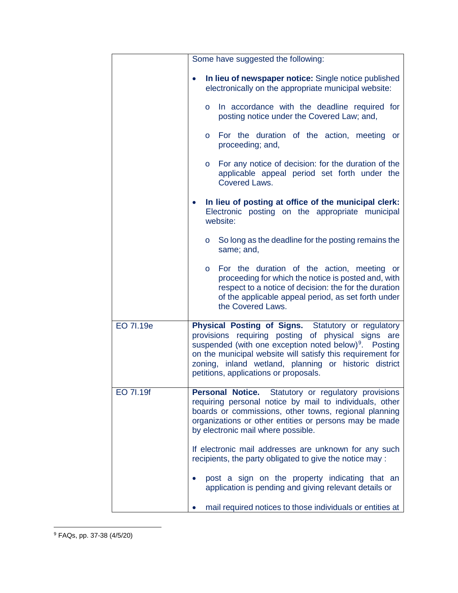<span id="page-5-0"></span>

|           | Some have suggested the following:                                                                                                                                                                                                                                                                                                            |
|-----------|-----------------------------------------------------------------------------------------------------------------------------------------------------------------------------------------------------------------------------------------------------------------------------------------------------------------------------------------------|
|           | In lieu of newspaper notice: Single notice published<br>electronically on the appropriate municipal website:                                                                                                                                                                                                                                  |
|           | In accordance with the deadline required for<br>$\circ$<br>posting notice under the Covered Law; and,                                                                                                                                                                                                                                         |
|           | For the duration of the action, meeting or<br>$\circ$<br>proceeding; and,                                                                                                                                                                                                                                                                     |
|           | For any notice of decision: for the duration of the<br>$\overline{O}$<br>applicable appeal period set forth under the<br>Covered Laws.                                                                                                                                                                                                        |
|           | In lieu of posting at office of the municipal clerk:<br>Electronic posting on the appropriate municipal<br>website:                                                                                                                                                                                                                           |
|           | $\circ$ So long as the deadline for the posting remains the<br>same; and,                                                                                                                                                                                                                                                                     |
|           | For the duration of the action, meeting or<br>$\circ$<br>proceeding for which the notice is posted and, with<br>respect to a notice of decision: the for the duration<br>of the applicable appeal period, as set forth under<br>the Covered Laws.                                                                                             |
| EO 7I.19e | Physical Posting of Signs. Statutory or regulatory<br>provisions requiring posting of physical signs are<br>suspended (with one exception noted below) <sup>9</sup> . Posting<br>on the municipal website will satisfy this requirement for<br>zoning, inland wetland, planning or historic district<br>petitions, applications or proposals. |
| EO 71.19f | Personal Notice. Statutory or regulatory provisions<br>requiring personal notice by mail to individuals, other<br>boards or commissions, other towns, regional planning<br>organizations or other entities or persons may be made<br>by electronic mail where possible.                                                                       |
|           | If electronic mail addresses are unknown for any such<br>recipients, the party obligated to give the notice may :                                                                                                                                                                                                                             |
|           | post a sign on the property indicating that an<br>application is pending and giving relevant details or                                                                                                                                                                                                                                       |
|           | mail required notices to those individuals or entities at                                                                                                                                                                                                                                                                                     |